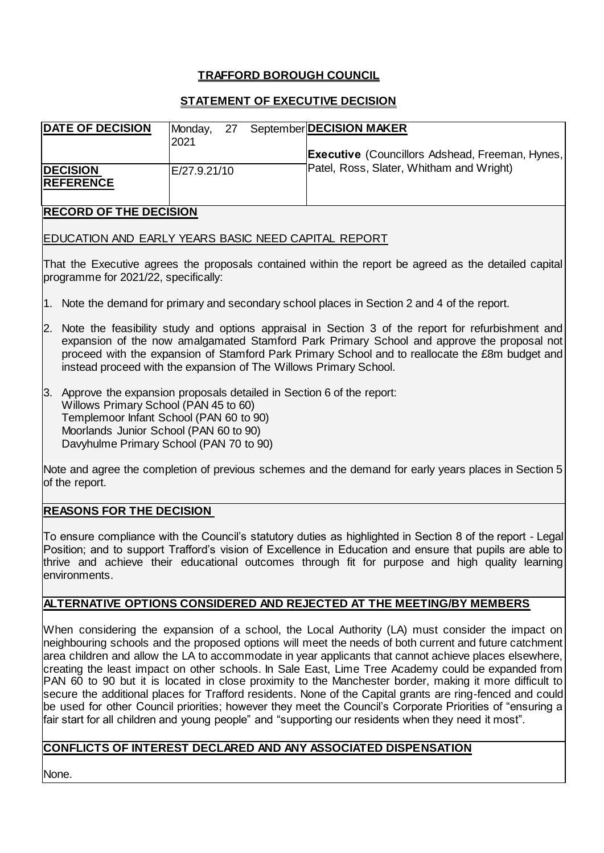## **TRAFFORD BOROUGH COUNCIL**

### **STATEMENT OF EXECUTIVE DECISION**

| <b>DATE OF DECISION</b>             | Monday,<br>2021 | -27 |  | September DECISION MAKER                               |
|-------------------------------------|-----------------|-----|--|--------------------------------------------------------|
|                                     |                 |     |  | <b>Executive</b> (Councillors Adshead, Freeman, Hynes, |
| <b>DECISION</b><br><b>REFERENCE</b> | E/27.9.21/10    |     |  | Patel, Ross, Slater, Whitham and Wright)               |
| <b>RECORD OF THE DECISION</b>       |                 |     |  |                                                        |

That the Executive agrees the proposals contained within the report be agreed as the detailed capital programme for 2021/22, specifically:

- 1. Note the demand for primary and secondary school places in Section 2 and 4 of the report.
- 2. Note the feasibility study and options appraisal in Section 3 of the report for refurbishment and expansion of the now amalgamated Stamford Park Primary School and approve the proposal not proceed with the expansion of Stamford Park Primary School and to reallocate the £8m budget and instead proceed with the expansion of The Willows Primary School.
- 3. Approve the expansion proposals detailed in Section 6 of the report: Willows Primary School (PAN 45 to 60) Templemoor Infant School (PAN 60 to 90) Moorlands Junior School (PAN 60 to 90) Davyhulme Primary School (PAN 70 to 90)

EDUCATION AND EARLY YEARS BASIC NEED CAPITAL REPORT

Note and agree the completion of previous schemes and the demand for early years places in Section 5 of the report.

### **REASONS FOR THE DECISION**

To ensure compliance with the Council's statutory duties as highlighted in Section 8 of the report - Legal Position; and to support Trafford's vision of Excellence in Education and ensure that pupils are able to thrive and achieve their educational outcomes through fit for purpose and high quality learning environments.

### **ALTERNATIVE OPTIONS CONSIDERED AND REJECTED AT THE MEETING/BY MEMBERS**

When considering the expansion of a school, the Local Authority (LA) must consider the impact on neighbouring schools and the proposed options will meet the needs of both current and future catchment area children and allow the LA to accommodate in year applicants that cannot achieve places elsewhere, creating the least impact on other schools. In Sale East, Lime Tree Academy could be expanded from PAN 60 to 90 but it is located in close proximity to the Manchester border, making it more difficult to secure the additional places for Trafford residents. None of the Capital grants are ring-fenced and could be used for other Council priorities; however they meet the Council's Corporate Priorities of "ensuring a fair start for all children and young people" and "supporting our residents when they need it most".

### **CONFLICTS OF INTEREST DECLARED AND ANY ASSOCIATED DISPENSATION**

None.